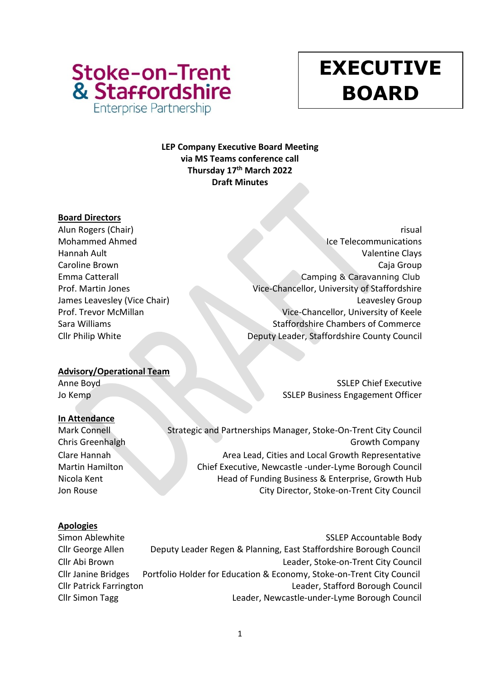

# **y EXECUTIVE BOARD**

# **LEP Company Executive Board Meeting via MS Teams conference call Thursday 17th March 2022 Draft Minutes**

# **Board Directors**

Alun Rogers (Chair) risual Mohammed Ahmed Ice Telecommunications Hannah Ault Valentine Clays Caroline Brown Caja Group Emma Catterall Camping & Caravanning Club Prof. Martin Jones Vice-Chancellor, University of Staffordshire James Leavesley (Vice Chair) Leaves and Leavesley Group Prof. Trevor McMillan Vice-Chancellor, University of Keele Sara Williams **Staffordshire Chambers of Commerce** Cllr Philip White Deputy Leader, Staffordshire County Council

# **Advisory/Operational Team**

Anne Boyd SSLEP Chief Executive Jo Kemp SSLEP Business Engagement Officer

# **In Attendance**

Mark Connell Strategic and Partnerships Manager, Stoke-On-Trent City Council Chris Greenhalgh Growth Company Clare Hannah **Area Lead, Cities and Local Growth Representative** Area Lead, Cities and Local Growth Representative Martin Hamilton Chief Executive, Newcastle -under-Lyme Borough Council Nicola Kent **Head of Funding Business & Enterprise, Growth Hub** Hub Jon Rouse City Director, Stoke-on-Trent City Council

# **Apologies**

Simon Ablewhite Sample Body and SSLEP Accountable Body Cllr George Allen Deputy Leader Regen & Planning, East Staffordshire Borough Council Cllr Abi Brown Leader, Stoke-on-Trent City Council Cllr Janine Bridges Portfolio Holder for Education & Economy, Stoke-on-Trent City Council Cllr Patrick Farrington Leader, Stafford Borough Council Cllr Simon Tagg Leader, Newcastle-under-Lyme Borough Council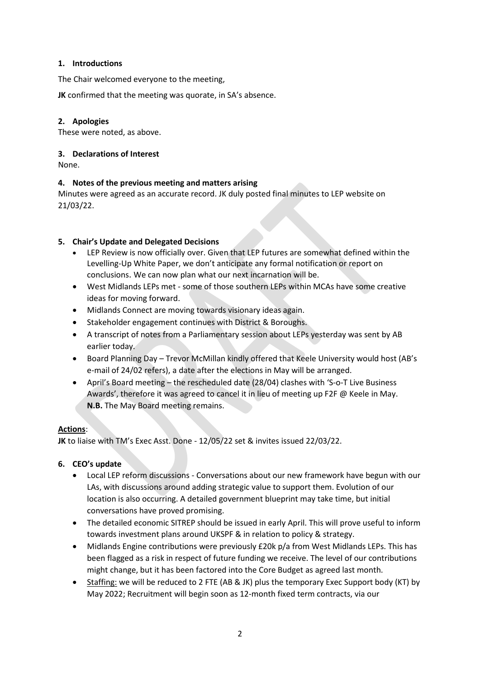#### **1. Introductions**

The Chair welcomed everyone to the meeting,

**JK** confirmed that the meeting was quorate, in SA's absence.

#### **2. Apologies**

These were noted, as above.

#### **3. Declarations of Interest**

None.

#### **4. Notes of the previous meeting and matters arising**

Minutes were agreed as an accurate record. JK duly posted final minutes to LEP website on 21/03/22.

#### **5. Chair's Update and Delegated Decisions**

- LEP Review is now officially over. Given that LEP futures are somewhat defined within the Levelling-Up White Paper, we don't anticipate any formal notification or report on conclusions. We can now plan what our next incarnation will be.
- West Midlands LEPs met some of those southern LEPs within MCAs have some creative ideas for moving forward.
- Midlands Connect are moving towards visionary ideas again.
- Stakeholder engagement continues with District & Boroughs.
- A transcript of notes from a Parliamentary session about LEPs yesterday was sent by AB earlier today.
- Board Planning Day Trevor McMillan kindly offered that Keele University would host (AB's e-mail of 24/02 refers), a date after the elections in May will be arranged.
- April's Board meeting the rescheduled date (28/04) clashes with 'S-o-T Live Business Awards', therefore it was agreed to cancel it in lieu of meeting up F2F @ Keele in May. **N.B.** The May Board meeting remains.

# **Actions**:

**JK** to liaise with TM's Exec Asst. Done - 12/05/22 set & invites issued 22/03/22.

# **6. CEO's update**

- Local LEP reform discussions Conversations about our new framework have begun with our LAs, with discussions around adding strategic value to support them. Evolution of our location is also occurring. A detailed government blueprint may take time, but initial conversations have proved promising.
- The detailed economic SITREP should be issued in early April. This will prove useful to inform towards investment plans around UKSPF & in relation to policy & strategy.
- Midlands Engine contributions were previously £20k p/a from West Midlands LEPs. This has been flagged as a risk in respect of future funding we receive. The level of our contributions might change, but it has been factored into the Core Budget as agreed last month.
- Staffing: we will be reduced to 2 FTE (AB & JK) plus the temporary Exec Support body (KT) by May 2022; Recruitment will begin soon as 12-month fixed term contracts, via our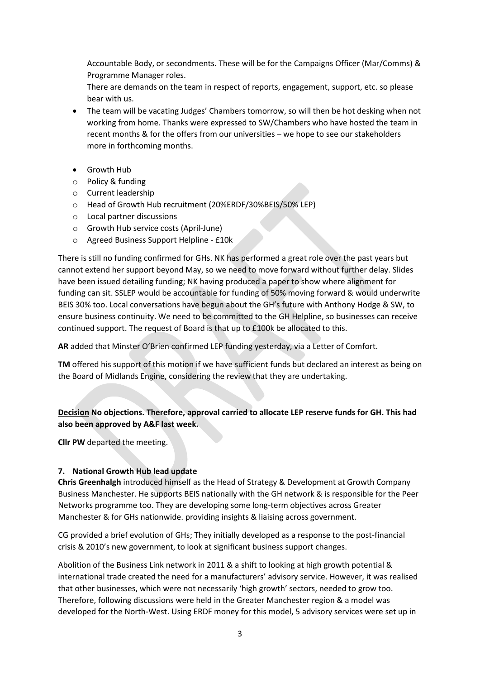Accountable Body, or secondments. These will be for the Campaigns Officer (Mar/Comms) & Programme Manager roles.

There are demands on the team in respect of reports, engagement, support, etc. so please bear with us.

- The team will be vacating Judges' Chambers tomorrow, so will then be hot desking when not working from home. Thanks were expressed to SW/Chambers who have hosted the team in recent months & for the offers from our universities – we hope to see our stakeholders more in forthcoming months.
- Growth Hub
- o Policy & funding
- o Current leadership
- o Head of Growth Hub recruitment (20%ERDF/30%BEIS/50% LEP)
- o Local partner discussions
- o Growth Hub service costs (April-June)
- o Agreed Business Support Helpline £10k

There is still no funding confirmed for GHs. NK has performed a great role over the past years but cannot extend her support beyond May, so we need to move forward without further delay. Slides have been issued detailing funding; NK having produced a paper to show where alignment for funding can sit. SSLEP would be accountable for funding of 50% moving forward & would underwrite BEIS 30% too. Local conversations have begun about the GH's future with Anthony Hodge & SW, to ensure business continuity. We need to be committed to the GH Helpline, so businesses can receive continued support. The request of Board is that up to £100k be allocated to this.

**AR** added that Minster O'Brien confirmed LEP funding yesterday, via a Letter of Comfort.

**TM** offered his support of this motion if we have sufficient funds but declared an interest as being on the Board of Midlands Engine, considering the review that they are undertaking.

# **Decision No objections. Therefore, approval carried to allocate LEP reserve funds for GH. This had also been approved by A&F last week.**

**Cllr PW** departed the meeting.

#### **7. National Growth Hub lead update**

**Chris Greenhalgh** introduced himself as the Head of Strategy & Development at Growth Company Business Manchester. He supports BEIS nationally with the GH network & is responsible for the Peer Networks programme too. They are developing some long-term objectives across Greater Manchester & for GHs nationwide. providing insights & liaising across government.

CG provided a brief evolution of GHs; They initially developed as a response to the post-financial crisis & 2010's new government, to look at significant business support changes.

Abolition of the Business Link network in 2011 & a shift to looking at high growth potential & international trade created the need for a manufacturers' advisory service. However, it was realised that other businesses, which were not necessarily 'high growth' sectors, needed to grow too. Therefore, following discussions were held in the Greater Manchester region & a model was developed for the North-West. Using ERDF money for this model, 5 advisory services were set up in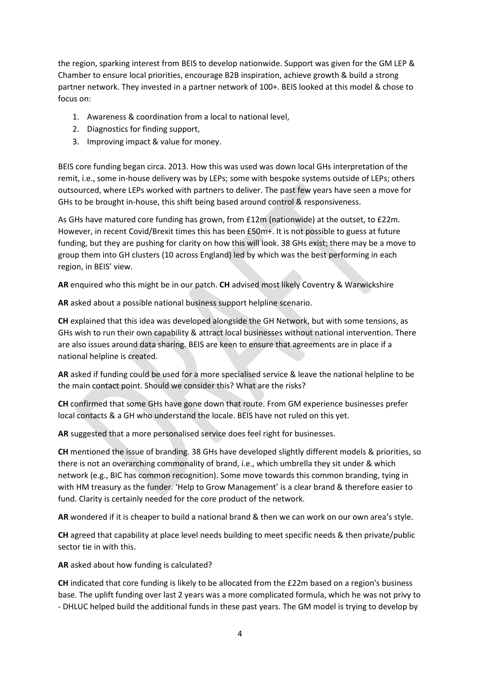the region, sparking interest from BEIS to develop nationwide. Support was given for the GM LEP & Chamber to ensure local priorities, encourage B2B inspiration, achieve growth & build a strong partner network. They invested in a partner network of 100+. BEIS looked at this model & chose to focus on:

- 1. Awareness & coordination from a local to national level,
- 2. Diagnostics for finding support,
- 3. Improving impact & value for money.

BEIS core funding began circa. 2013. How this was used was down local GHs interpretation of the remit, i.e., some in-house delivery was by LEPs; some with bespoke systems outside of LEPs; others outsourced, where LEPs worked with partners to deliver. The past few years have seen a move for GHs to be brought in-house, this shift being based around control & responsiveness.

As GHs have matured core funding has grown, from £12m (nationwide) at the outset, to £22m. However, in recent Covid/Brexit times this has been £50m+. It is not possible to guess at future funding, but they are pushing for clarity on how this will look. 38 GHs exist; there may be a move to group them into GH clusters (10 across England) led by which was the best performing in each region, in BEIS' view.

**AR** enquired who this might be in our patch. **CH** advised most likely Coventry & Warwickshire

**AR** asked about a possible national business support helpline scenario.

**CH** explained that this idea was developed alongside the GH Network, but with some tensions, as GHs wish to run their own capability & attract local businesses without national intervention. There are also issues around data sharing. BEIS are keen to ensure that agreements are in place if a national helpline is created.

**AR** asked if funding could be used for a more specialised service & leave the national helpline to be the main contact point. Should we consider this? What are the risks?

**CH** confirmed that some GHs have gone down that route. From GM experience businesses prefer local contacts & a GH who understand the locale. BEIS have not ruled on this yet.

**AR** suggested that a more personalised service does feel right for businesses.

**CH** mentioned the issue of branding. 38 GHs have developed slightly different models & priorities, so there is not an overarching commonality of brand, i.e., which umbrella they sit under & which network (e.g., BIC has common recognition). Some move towards this common branding, tying in with HM treasury as the funder. 'Help to Grow Management' is a clear brand & therefore easier to fund. Clarity is certainly needed for the core product of the network.

**AR** wondered if it is cheaper to build a national brand & then we can work on our own area's style.

**CH** agreed that capability at place level needs building to meet specific needs & then private/public sector tie in with this.

**AR** asked about how funding is calculated?

**CH** indicated that core funding is likely to be allocated from the £22m based on a region's business base. The uplift funding over last 2 years was a more complicated formula, which he was not privy to - DHLUC helped build the additional funds in these past years. The GM model is trying to develop by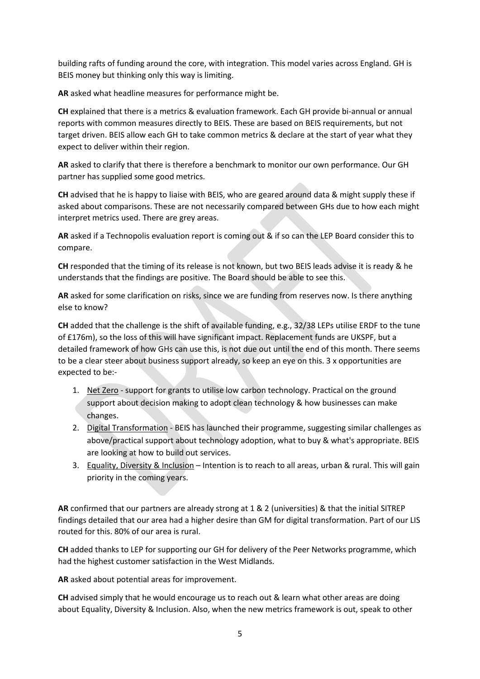building rafts of funding around the core, with integration. This model varies across England. GH is BEIS money but thinking only this way is limiting.

**AR** asked what headline measures for performance might be.

**CH** explained that there is a metrics & evaluation framework. Each GH provide bi-annual or annual reports with common measures directly to BEIS. These are based on BEIS requirements, but not target driven. BEIS allow each GH to take common metrics & declare at the start of year what they expect to deliver within their region.

**AR** asked to clarify that there is therefore a benchmark to monitor our own performance. Our GH partner has supplied some good metrics.

**CH** advised that he is happy to liaise with BEIS, who are geared around data & might supply these if asked about comparisons. These are not necessarily compared between GHs due to how each might interpret metrics used. There are grey areas.

**AR** asked if a Technopolis evaluation report is coming out & if so can the LEP Board consider this to compare.

**CH** responded that the timing of its release is not known, but two BEIS leads advise it is ready & he understands that the findings are positive. The Board should be able to see this.

**AR** asked for some clarification on risks, since we are funding from reserves now. Is there anything else to know?

**CH** added that the challenge is the shift of available funding, e.g., 32/38 LEPs utilise ERDF to the tune of £176m), so the loss of this will have significant impact. Replacement funds are UKSPF, but a detailed framework of how GHs can use this, is not due out until the end of this month. There seems to be a clear steer about business support already, so keep an eye on this. 3 x opportunities are expected to be:-

- 1. Net Zero support for grants to utilise low carbon technology. Practical on the ground support about decision making to adopt clean technology & how businesses can make changes.
- 2. Digital Transformation BEIS has launched their programme, suggesting similar challenges as above/practical support about technology adoption, what to buy & what's appropriate. BEIS are looking at how to build out services.
- 3. Equality, Diversity & Inclusion Intention is to reach to all areas, urban & rural. This will gain priority in the coming years.

**AR** confirmed that our partners are already strong at 1 & 2 (universities) & that the initial SITREP findings detailed that our area had a higher desire than GM for digital transformation. Part of our LIS routed for this. 80% of our area is rural.

**CH** added thanks to LEP for supporting our GH for delivery of the Peer Networks programme, which had the highest customer satisfaction in the West Midlands.

**AR** asked about potential areas for improvement.

**CH** advised simply that he would encourage us to reach out & learn what other areas are doing about Equality, Diversity & Inclusion. Also, when the new metrics framework is out, speak to other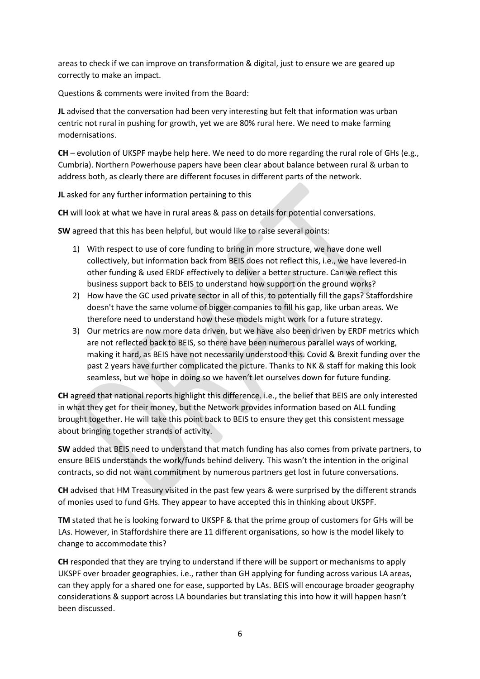areas to check if we can improve on transformation & digital, just to ensure we are geared up correctly to make an impact.

Questions & comments were invited from the Board:

**JL** advised that the conversation had been very interesting but felt that information was urban centric not rural in pushing for growth, yet we are 80% rural here. We need to make farming modernisations.

**CH** – evolution of UKSPF maybe help here. We need to do more regarding the rural role of GHs (e.g., Cumbria). Northern Powerhouse papers have been clear about balance between rural & urban to address both, as clearly there are different focuses in different parts of the network.

**JL** asked for any further information pertaining to this

**CH** will look at what we have in rural areas & pass on details for potential conversations.

**SW** agreed that this has been helpful, but would like to raise several points:

- 1) With respect to use of core funding to bring in more structure, we have done well collectively, but information back from BEIS does not reflect this, i.e., we have levered-in other funding & used ERDF effectively to deliver a better structure. Can we reflect this business support back to BEIS to understand how support on the ground works?
- 2) How have the GC used private sector in all of this, to potentially fill the gaps? Staffordshire doesn't have the same volume of bigger companies to fill his gap, like urban areas. We therefore need to understand how these models might work for a future strategy.
- 3) Our metrics are now more data driven, but we have also been driven by ERDF metrics which are not reflected back to BEIS, so there have been numerous parallel ways of working, making it hard, as BEIS have not necessarily understood this. Covid & Brexit funding over the past 2 years have further complicated the picture. Thanks to NK & staff for making this look seamless, but we hope in doing so we haven't let ourselves down for future funding.

**CH** agreed that national reports highlight this difference. i.e., the belief that BEIS are only interested in what they get for their money, but the Network provides information based on ALL funding brought together. He will take this point back to BEIS to ensure they get this consistent message about bringing together strands of activity.

**SW** added that BEIS need to understand that match funding has also comes from private partners, to ensure BEIS understands the work/funds behind delivery. This wasn't the intention in the original contracts, so did not want commitment by numerous partners get lost in future conversations.

**CH** advised that HM Treasury visited in the past few years & were surprised by the different strands of monies used to fund GHs. They appear to have accepted this in thinking about UKSPF.

**TM** stated that he is looking forward to UKSPF & that the prime group of customers for GHs will be LAs. However, in Staffordshire there are 11 different organisations, so how is the model likely to change to accommodate this?

**CH** responded that they are trying to understand if there will be support or mechanisms to apply UKSPF over broader geographies. i.e., rather than GH applying for funding across various LA areas, can they apply for a shared one for ease, supported by LAs. BEIS will encourage broader geography considerations & support across LA boundaries but translating this into how it will happen hasn't been discussed.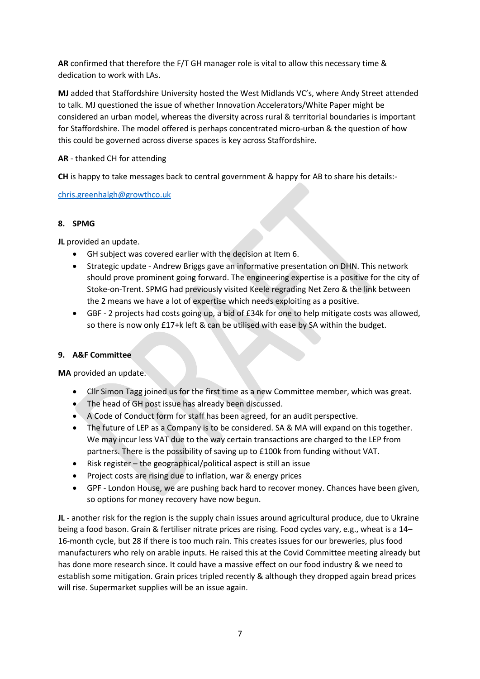**AR** confirmed that therefore the F/T GH manager role is vital to allow this necessary time & dedication to work with LAs.

**MJ** added that Staffordshire University hosted the West Midlands VC's, where Andy Street attended to talk. MJ questioned the issue of whether Innovation Accelerators/White Paper might be considered an urban model, whereas the diversity across rural & territorial boundaries is important for Staffordshire. The model offered is perhaps concentrated micro-urban & the question of how this could be governed across diverse spaces is key across Staffordshire.

# **AR** - thanked CH for attending

**CH** is happy to take messages back to central government & happy for AB to share his details:-

# [chris.greenhalgh@growthco.uk](mailto:chris.greenhalgh@growthco.uk)

# **8. SPMG**

**JL** provided an update.

- GH subject was covered earlier with the decision at Item 6.
- Strategic update Andrew Briggs gave an informative presentation on DHN. This network should prove prominent going forward. The engineering expertise is a positive for the city of Stoke-on-Trent. SPMG had previously visited Keele regrading Net Zero & the link between the 2 means we have a lot of expertise which needs exploiting as a positive.
- GBF 2 projects had costs going up, a bid of £34k for one to help mitigate costs was allowed, so there is now only £17+k left & can be utilised with ease by SA within the budget.

# **9. A&F Committee**

**MA** provided an update.

- Cllr Simon Tagg joined us for the first time as a new Committee member, which was great.
- The head of GH post issue has already been discussed.
- A Code of Conduct form for staff has been agreed, for an audit perspective.
- The future of LEP as a Company is to be considered. SA & MA will expand on this together. We may incur less VAT due to the way certain transactions are charged to the LEP from partners. There is the possibility of saving up to £100k from funding without VAT.
- Risk register the geographical/political aspect is still an issue
- Project costs are rising due to inflation, war & energy prices
- GPF London House, we are pushing back hard to recover money. Chances have been given, so options for money recovery have now begun.

**JL** - another risk for the region is the supply chain issues around agricultural produce, due to Ukraine being a food bason. Grain & fertiliser nitrate prices are rising. Food cycles vary, e.g., wheat is a 14– 16-month cycle, but 28 if there is too much rain. This creates issues for our breweries, plus food manufacturers who rely on arable inputs. He raised this at the Covid Committee meeting already but has done more research since. It could have a massive effect on our food industry & we need to establish some mitigation. Grain prices tripled recently & although they dropped again bread prices will rise. Supermarket supplies will be an issue again.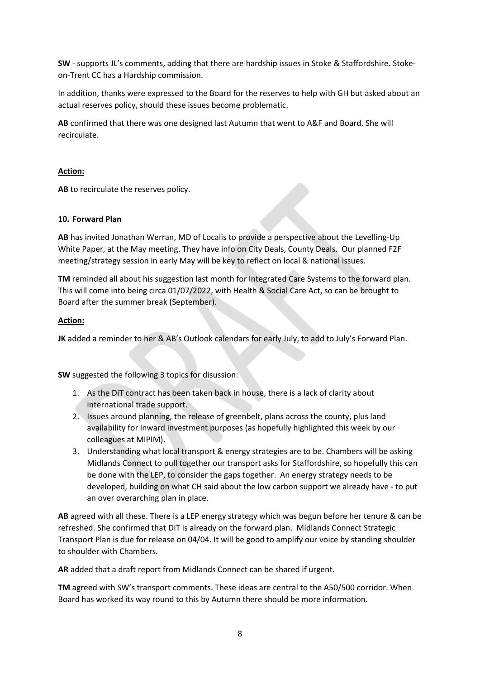**SW** - supports JL's comments, adding that there are hardship issues in Stoke & Staffordshire. Stokeon-Trent CC has a Hardship commission.

In addition, thanks were expressed to the Board for the reserves to help with GH but asked about an actual reserves policy, should these issues become problematic.

**AB** confirmed that there was one designed last Autumn that went to A&F and Board. She will recirculate.

#### **Action:**

**AB** to recirculate the reserves policy.

#### **10. Forward Plan**

**AB** has invited Jonathan Werran, MD of Localis to provide a perspective about the Levelling-Up White Paper, at the May meeting. They have info on City Deals, County Deals. Our planned F2F meeting/strategy session in early May will be key to reflect on local & national issues.

**TM** reminded all about his suggestion last month for Integrated Care Systems to the forward plan. This will come into being circa 01/07/2022, with Health & Social Care Act, so can be brought to Board after the summer break (September).

#### **Action:**

**JK** added a reminder to her & AB's Outlook calendars for early July, to add to July's Forward Plan.

**SW** suggested the following 3 topics for disussion:

- 1. As the DiT contract has been taken back in house, there is a lack of clarity about international trade support.
- 2. Issues around planning, the release of greenbelt, plans across the county, plus land availability for inward investment purposes (as hopefully highlighted this week by our colleagues at MIPIM).
- 3. Understanding what local transport & energy strategies are to be. Chambers will be asking Midlands Connect to pull together our transport asks for Staffordshire, so hopefully this can be done with the LEP, to consider the gaps together. An energy strategy needs to be developed, building on what CH said about the low carbon support we already have - to put an over overarching plan in place.

**AB** agreed with all these. There is a LEP energy strategy which was begun before her tenure & can be refreshed. She confirmed that DiT is already on the forward plan. Midlands Connect Strategic Transport Plan is due for release on 04/04. It will be good to amplify our voice by standing shoulder to shoulder with Chambers.

**AR** added that a draft report from Midlands Connect can be shared if urgent.

**TM** agreed with SW's transport comments. These ideas are central to the A50/500 corridor. When Board has worked its way round to this by Autumn there should be more information.